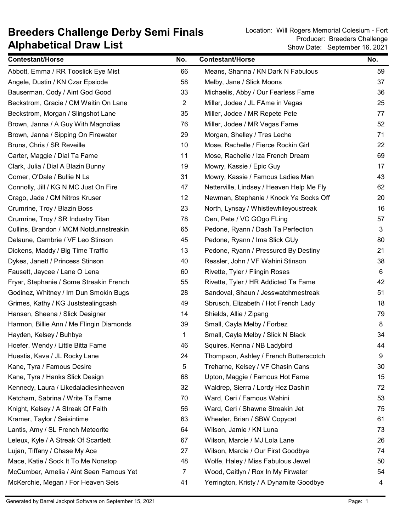## Alphabetical Draw List Breeders Challenge Derby Semi Finals<br>Breeders Challenge Derby Semi Finals<br>Producer: Breeders Challenge

Show Date: September 16, 2021 Producer: Breeders Challenge

| <b>Contestant/Horse</b>                  | No.            | <b>Contestant/Horse</b>                   | No. |
|------------------------------------------|----------------|-------------------------------------------|-----|
| Abbott, Emma / RR Tooslick Eye Mist      | 66             | Means, Shanna / KN Dark N Fabulous        | 59  |
| Angele, Dustin / KN Czar Epsiode         | 58             | Melby, Jane / Slick Moons                 | 37  |
| Bauserman, Cody / Aint God Good          | 33             | Michaelis, Abby / Our Fearless Fame       | 36  |
| Beckstrom, Gracie / CM Waitin On Lane    | $\overline{2}$ | Miller, Jodee / JL FAme in Vegas          | 25  |
| Beckstrom, Morgan / Slingshot Lane       | 35             | Miller, Jodee / MR Repete Pete            | 77  |
| Brown, Janna / A Guy With Magnolias      | 76             | Miller, Jodee / MR Vegas Fame             | 52  |
| Brown, Janna / Sipping On Firewater      | 29             | Morgan, Shelley / Tres Leche              | 71  |
| Bruns, Chris / SR Reveille               | 10             | Mose, Rachelle / Fierce Rockin Girl       | 22  |
| Carter, Maggie / Dial Ta Fame            | 11             | Mose, Rachelle / Iza French Dream         | 69  |
| Clark, Julia / Dial A Blazin Bunny       | 19             | Mowry, Kassie / Epic Guy                  | 17  |
| Comer, O'Dale / Bullie N La              | 31             | Mowry, Kassie / Famous Ladies Man         | 43  |
| Connolly, Jill / KG N MC Just On Fire    | 47             | Netterville, Lindsey / Heaven Help Me Fly | 62  |
| Crago, Jade / CM Nitros Kruser           | 12             | Newman, Stephanie / Knock Ya Socks Off    | 20  |
| Crumrine, Troy / Blazin Boss             | 23             | North, Lynsay / Whistlewhileyoustreak     | 16  |
| Crumrine, Troy / SR Industry Titan       | 78             | Oen, Pete / VC GOgo FLing                 | 57  |
| Cullins, Brandon / MCM Notdunnstreakin   | 65             | Pedone, Ryann / Dash Ta Perfection        | 3   |
| Delaune, Cambrie / VF Leo Stinson        | 45             | Pedone, Ryann / Ima Slick GUy             | 80  |
| Dickens, Maddy / Big Time Traffic        | 13             | Pedone, Ryann / Pressured By Destiny      | 21  |
| Dykes, Janett / Princess Stinson         | 40             | Ressler, John / VF Wahini Stinson         | 38  |
| Fausett, Jaycee / Lane O Lena            | 60             | Rivette, Tyler / Flingin Roses            | 6   |
| Fryar, Stephanie / Some Streakin French  | 55             | Rivette, Tyler / HR Addicted Ta Fame      | 42  |
| Godinez, Whitney / Im Dun Smokin Bugs    | 28             | Sandoval, Shaun / Jesswatchmestreak       | 51  |
| Grimes, Kathy / KG Juststealingcash      | 49             | Sbrusch, Elizabeth / Hot French Lady      | 18  |
| Hansen, Sheena / Slick Designer          | 14             | Shields, Allie / Zipang                   | 79  |
| Harmon, Billie Ann / Me Flingin Diamonds | 39             | Small, Cayla Melby / Forbez               | 8   |
| Hayden, Kelsey / Buhbye                  | 1              | Small, Cayla Melby / Slick N Black        | 34  |
| Hoefer, Wendy / Little Bitta Fame        | 46             | Squires, Kenna / NB Ladybird              | 44  |
| Huestis, Kava / JL Rocky Lane            | 24             | Thompson, Ashley / French Butterscotch    | 9   |
| Kane, Tyra / Famous Desire               | 5              | Treharne, Kelsey / VF Chasin Cans         | 30  |
| Kane, Tyra / Hanks Slick Design          | 68             | Upton, Maggie / Famous Hot Fame           | 15  |
| Kennedy, Laura / Likedaladiesinheaven    | 32             | Waldrep, Sierra / Lordy Hez Dashin        | 72  |
| Ketcham, Sabrina / Write Ta Fame         | 70             | Ward, Ceri / Famous Wahini                | 53  |
| Knight, Kelsey / A Streak Of Faith       | 56             | Ward, Ceri / Shawne Streakin Jet          | 75  |
| Kramer, Taylor / Seisintime              | 63             | Wheeler, Brian / SBW Copycat              | 61  |
| Lantis, Amy / SL French Meteorite        | 64             | Wilson, Jamie / KN Luna                   | 73  |
| Leleux, Kyle / A Streak Of Scartlett     | 67             | Wilson, Marcie / MJ Lola Lane             | 26  |
| Lujan, Tiffany / Chase My Ace            | 27             | Wilson, Marcie / Our First Goodbye        | 74  |
| Mace, Katie / Sock It To Me Nonstop      | 48             | Wolfe, Haley / Miss Fabulous Jewel        | 50  |
| McCumber, Amelia / Aint Seen Famous Yet  | 7              | Wood, Caitlyn / Rox In My Firwater        | 54  |
| McKerchie, Megan / For Heaven Seis       | 41             | Yerrington, Kristy / A Dynamite Goodbye   | 4   |